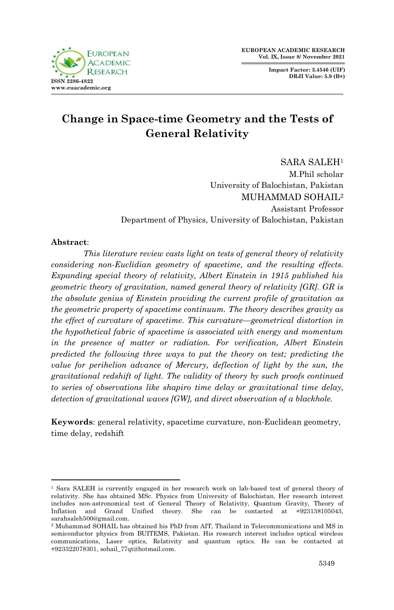**Impact Factor: 3.4546 (UIF) DRJI Value: 5.9 (B+)**



# **Change in Space-time Geometry and the Tests of General Relativity**

SARA SALEH<sup>1</sup> M.Phil scholar University of Balochistan, Pakistan MUHAMMAD SOHAIL<sup>2</sup> Assistant Professor Department of Physics, University of Balochistan, Pakistan

#### **Abstract**:

1

*This literature review casts light on tests of general theory of relativity considering non-Euclidian geometry of spacetime, and the resulting effects. Expanding special theory of relativity, Albert Einstein in 1915 published his geometric theory of gravitation, named general theory of relativity [GR]. GR is the absolute genius of Einstein providing the current profile of gravitation as the geometric property of spacetime continuum. The theory describes gravity as the effect of curvature of spacetime. This curvature—geometrical distortion in the hypothetical fabric of spacetime is associated with energy and momentum in the presence of matter or radiation. For verification, Albert Einstein predicted the following three ways to put the theory on test; predicting the value for perihelion advance of Mercury, deflection of light by the sun, the gravitational redshift of light. The validity of theory by such proofs continued to series of observations like shapiro time delay or gravitational time delay, detection of gravitational waves [GW], and direct observation of a blackhole.*

**Keywords**: general relativity, spacetime curvature, non-Euclidean geometry, time delay, redshift

<sup>1</sup> Sara SALEH is currently engaged in her research work on lab-based test of general theory of relativity. She has obtained MSc. Physics from University of Balochistan. Her research interest includes non-astronomical test of General Theory of Relativity, Quantum Gravity, Theory of Inflation and Grand Unified theory. She can be contacted at +923138105043, sarahsaleh500@gmail.com.

<sup>2</sup> Muhammad SOHAIL has obtained his PhD from AIT, Thailand in Telecommunications and MS in semiconductor physics from BUITEMS, Pakistan. His research interest includes optical wireless communications, Laser optics, Relativity and quantum optics. He can be contacted at +923322078301, sohail\_77qt@hotmail.com.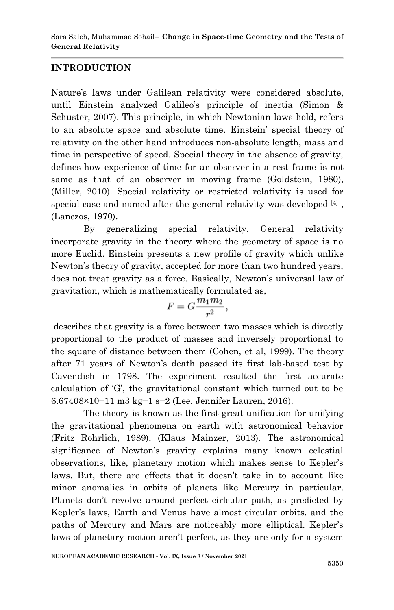## **INTRODUCTION**

Nature's laws under Galilean relativity were considered absolute, until Einstein analyzed Galileo's principle of inertia (Simon & Schuster, 2007). This principle, in which Newtonian laws hold, refers to an absolute space and absolute time. Einstein' special theory of relativity on the other hand introduces non-absolute length, mass and time in perspective of speed. Special theory in the absence of gravity, defines how experience of time for an observer in a rest frame is not same as that of an observer in moving frame (Goldstein, 1980), (Miller, 2010). Special relativity or restricted relativity is used for special case and named after the general relativity was developed  $^{[4]}$ , (Lanczos, 1970).

By generalizing special relativity, General relativity incorporate gravity in the theory where the geometry of space is no more Euclid. Einstein presents a new profile of gravity which unlike Newton's theory of gravity, accepted for more than two hundred years, does not treat gravity as a force. Basically, Newton's universal law of gravitation, which is mathematically formulated as,

$$
F=G\frac{m_1m_2}{r^2},
$$

describes that gravity is a force between two masses which is directly proportional to the product of masses and inversely proportional to the square of distance between them (Cohen, et al, 1999). The theory after 71 years of Newton's death passed its first lab-based test by Cavendish in 1798. The experiment resulted the first accurate calculation of ‗G', the gravitational constant which turned out to be 6.67408×10−11 m3 kg−1 s−2 (Lee, Jennifer Lauren, 2016).

The theory is known as the first great unification for unifying the gravitational phenomena on earth with astronomical behavior (Fritz Rohrlich, 1989), (Klaus Mainzer, 2013). The astronomical significance of Newton's gravity explains many known celestial observations, like, planetary motion which makes sense to Kepler's laws. But, there are effects that it doesn't take in to account like minor anomalies in orbits of planets like Mercury in particular. Planets don't revolve around perfect cirlcular path, as predicted by Kepler's laws, Earth and Venus have almost circular orbits, and the paths of Mercury and Mars are noticeably more elliptical. Kepler's laws of planetary motion aren't perfect, as they are only for a system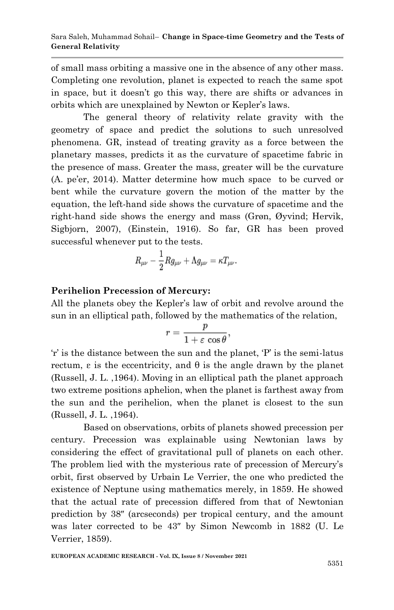of small mass orbiting a massive one in the absence of any other mass. Completing one revolution, planet is expected to reach the same spot in space, but it doesn't go this way, there are shifts or advances in orbits which are unexplained by Newton or Kepler's laws.

The general theory of relativity relate gravity with the geometry of space and predict the solutions to such unresolved phenomena. GR, instead of treating gravity as a force between the planetary masses, predicts it as the curvature of spacetime fabric in the presence of mass. Greater the mass, greater will be the curvature (A. pe'er, 2014). Matter determine how much space to be curved or bent while the curvature govern the motion of the matter by the equation, the left-hand side shows the curvature of spacetime and the right-hand side shows the energy and mass (Grøn, Øyvind; Hervik, Sigbjorn, 2007), (Einstein, 1916). So far, GR has been proved successful whenever put to the tests.

$$
R_{\mu\nu}-\frac{1}{2}Rg_{\mu\nu}+\Lambda g_{\mu\nu}=\kappa T_{\mu\nu}.
$$

# **Perihelion Precession of Mercury:**

All the planets obey the Kepler's law of orbit and revolve around the sun in an elliptical path, followed by the mathematics of the relation,

$$
r=\frac{p}{1+\varepsilon\,\cos\theta},
$$

 $\hat{r}$  is the distance between the sun and the planet,  $\hat{P}$  is the semi-latus rectum,  $\varepsilon$  is the eccentricity, and  $\theta$  is the angle drawn by the planet (Russell, J. L. ,1964). Moving in an elliptical path the planet approach two extreme positions aphelion, when the planet is farthest away from the sun and the perihelion, when the planet is closest to the sun (Russell, J. L. ,1964).

Based on observations, orbits of planets showed precession per century. Precession was explainable using Newtonian laws by considering the effect of gravitational pull of planets on each other. The problem lied with the mysterious rate of precession of Mercury's orbit, first observed by Urbain Le Verrier, the one who predicted the existence of Neptune using mathematics merely, in 1859. He showed that the actual rate of precession differed from that of Newtonian prediction by 38″ (arcseconds) per tropical century, and the amount was later corrected to be 43″ by Simon Newcomb in 1882 (U. Le Verrier, 1859).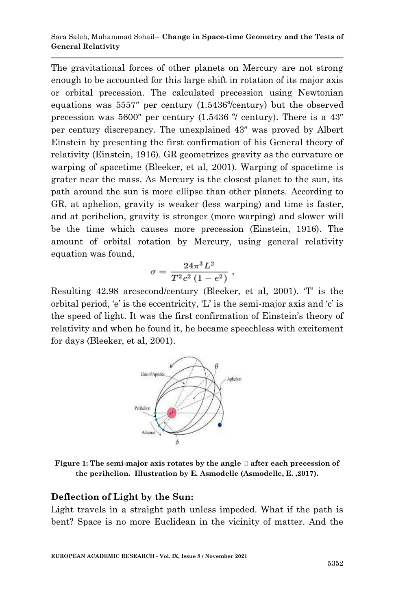The gravitational forces of other planets on Mercury are not strong enough to be accounted for this large shift in rotation of its major axis or orbital precession. The calculated precession using Newtonian equations was 5557″ per century (1.5436º/century) but the observed precession was 5600″ per century (1.5436 º/ century). There is a 43″ per century discrepancy. The unexplained 43″ was proved by Albert Einstein by presenting the first confirmation of his General theory of relativity (Einstein, 1916). GR geometrizes gravity as the curvature or warping of spacetime (Bleeker, et al, 2001). Warping of spacetime is grater near the mass. As Mercury is the closest planet to the sun, its path around the sun is more ellipse than other planets. According to GR, at aphelion, gravity is weaker (less warping) and time is faster, and at perihelion, gravity is stronger (more warping) and slower will be the time which causes more precession (Einstein, 1916). The amount of orbital rotation by Mercury, using general relativity equation was found,

$$
\sigma = \frac{24\pi^3 L^2}{T^2 c^2 (1 - e^2)} \; ,
$$

Resulting 42.98 arcsecond/century (Bleeker, et al, 2001). T is the orbital period,  $\mathbf{e}'$  is the eccentricity,  $\mathbf{L}'$  is the semi-major axis and  $\mathbf{c}'$  is the speed of light. It was the first confirmation of Einstein's theory of relativity and when he found it, he became speechless with excitement for days (Bleeker, et al, 2001).



**Figure 1: The semi-major axis rotates by the angle ꝋ after each precession of the perihelion. Illustration by E. Asmodelle (Asmodelle, E. ,2017).**

### **Deflection of Light by the Sun:**

Light travels in a straight path unless impeded. What if the path is bent? Space is no more Euclidean in the vicinity of matter. And the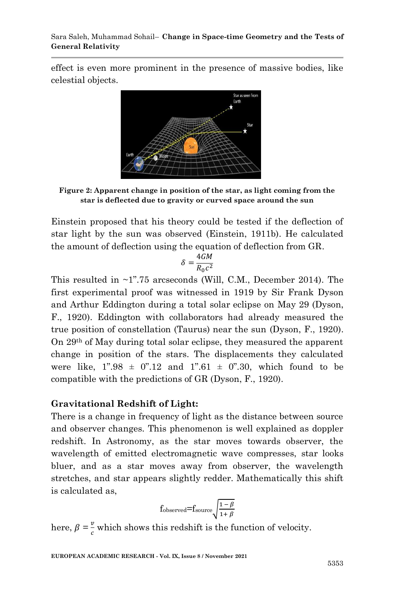effect is even more prominent in the presence of massive bodies, like celestial objects.



**Figure 2: Apparent change in position of the star, as light coming from the star is deflected due to gravity or curved space around the sun**

Einstein proposed that his theory could be tested if the deflection of star light by the sun was observed (Einstein, 1911b). He calculated the amount of deflection using the equation of deflection from GR.

$$
\delta = \frac{4GM}{R_0c^2}
$$

This resulted in  $\sim$ 1".75 arcseconds (Will, C.M., December 2014). The first experimental proof was witnessed in 1919 by Sir Frank Dyson and Arthur Eddington during a total solar eclipse on May 29 (Dyson, F., 1920). Eddington with collaborators had already measured the true position of constellation (Taurus) near the sun (Dyson, F., 1920). On 29th of May during total solar eclipse, they measured the apparent change in position of the stars. The displacements they calculated were like, 1".98  $\pm$  0".12 and 1".61  $\pm$  0".30, which found to be compatible with the predictions of GR (Dyson, F., 1920).

# **Gravitational Redshift of Light:**

There is a change in frequency of light as the distance between source and observer changes. This phenomenon is well explained as doppler redshift. In Astronomy, as the star moves towards observer, the wavelength of emitted electromagnetic wave compresses, star looks bluer, and as a star moves away from observer, the wavelength stretches, and star appears slightly redder. Mathematically this shift is calculated as,

$$
f_{\rm observed}{=}f_{\rm source}\sqrt{\frac{1-\beta}{1+\beta}}
$$

here,  $\beta = \frac{v}{\epsilon}$  $\frac{\nu}{c}$  which shows this redshift is the function of velocity.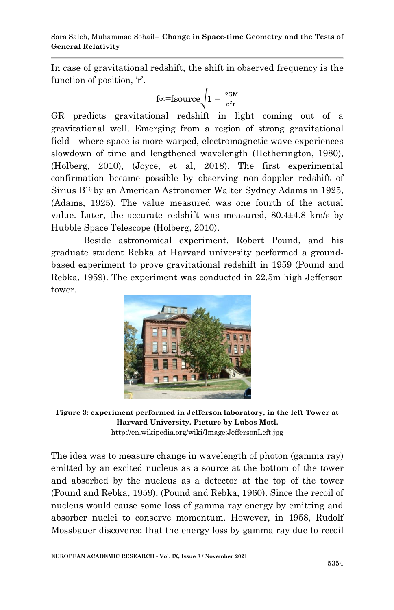In case of gravitational redshift, the shift in observed frequency is the function of position, 'r'.

$$
\text{f}\in\text{fsource}\sqrt{1-\frac{2GM}{c^2r}}
$$

GR predicts gravitational redshift in light coming out of a gravitational well. Emerging from a region of strong gravitational field—where space is more warped, electromagnetic wave experiences slowdown of time and lengthened wavelength (Hetherington, 1980), (Holberg, 2010), (Joyce, et al, 2018). The first experimental confirmation became possible by observing non-doppler redshift of Sirius B<sup>16</sup> by an American Astronomer Walter Sydney Adams in 1925, (Adams, 1925). The value measured was one fourth of the actual value. Later, the accurate redshift was measured,  $80.4\pm4.8$  km/s by Hubble Space Telescope (Holberg, 2010).

Beside astronomical experiment, Robert Pound, and his graduate student Rebka at Harvard university performed a groundbased experiment to prove gravitational redshift in 1959 (Pound and Rebka, 1959). The experiment was conducted in 22.5m high Jefferson tower.



**Figure 3: experiment performed in Jefferson laboratory, in the left Tower at Harvard University. Picture by Lubos Motl.** http://en.wikipedia.org/wiki/Image:JeffersonLeft.jpg

The idea was to measure change in wavelength of photon (gamma ray) emitted by an excited nucleus as a source at the bottom of the tower and absorbed by the nucleus as a detector at the top of the tower (Pound and Rebka, 1959), (Pound and Rebka, 1960). Since the recoil of nucleus would cause some loss of gamma ray energy by emitting and absorber nuclei to conserve momentum. However, in 1958, Rudolf Mossbauer discovered that the energy loss by gamma ray due to recoil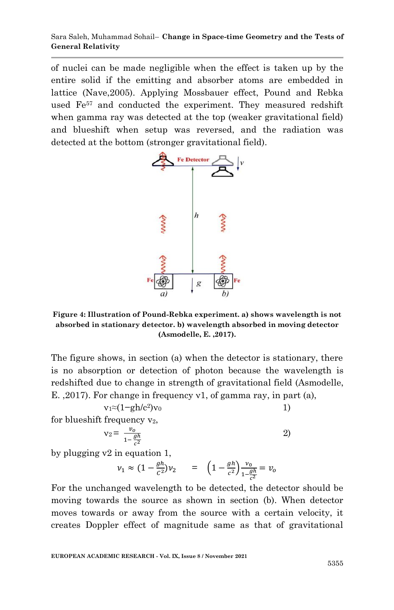of nuclei can be made negligible when the effect is taken up by the entire solid if the emitting and absorber atoms are embedded in lattice (Nave,2005). Applying Mossbauer effect, Pound and Rebka used Fe<sup>57</sup> and conducted the experiment. They measured redshift when gamma ray was detected at the top (weaker gravitational field) and blueshift when setup was reversed, and the radiation was detected at the bottom (stronger gravitational field).



**Figure 4: Illustration of Pound-Rebka experiment. a) shows wavelength is not absorbed in stationary detector. b) wavelength absorbed in moving detector (Asmodelle, E. ,2017).**

The figure shows, in section (a) when the detector is stationary, there is no absorption or detection of photon because the wavelength is redshifted due to change in strength of gravitational field (Asmodelle, E. ,2017). For change in frequency ν1, of gamma ray, in part (a),

$$
v_1 \approx (1 - gh/c^2)v_0 \tag{1}
$$

for blueshift frequency  $v_2$ ,

$$
v_2 = \frac{v_o}{1 - \frac{gh}{c^2}} \tag{2}
$$

by plugging v2 in equation 1,

$$
v_1 \approx (1 - \frac{gh}{c^2})v_2
$$
 =  $\left(1 - \frac{gh}{c^2}\right) \frac{v_0}{1 - \frac{gh}{c^2}} = v_0$ 

For the unchanged wavelength to be detected, the detector should be moving towards the source as shown in section (b). When detector moves towards or away from the source with a certain velocity, it creates Doppler effect of magnitude same as that of gravitational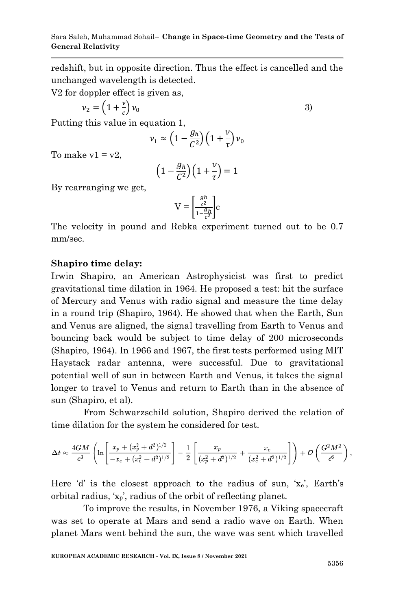redshift, but in opposite direction. Thus the effect is cancelled and the unchanged wavelength is detected.

V2 for doppler effect is given as,

$$
v_2 = \left(1 + \frac{v}{c}\right)v_0\tag{3}
$$

Putting this value in equation 1,

$$
\nu_1 \approx \left(1 - \frac{g_h}{C^2}\right) \left(1 + \frac{\nu}{\tau}\right) \nu_0
$$

To make  $v1 = v2$ .

$$
\left(1 - \frac{g_h}{C^2}\right)\left(1 + \frac{v}{\tau}\right) = 1
$$

By rearranging we get,

$$
V = \left[\frac{\frac{gh}{c^2}}{1 - \frac{gh}{c^2}}\right]c
$$

The velocity in pound and Rebka experiment turned out to be 0.7 mm/sec.

### **Shapiro time delay:**

Irwin Shapiro, an American Astrophysicist was first to predict gravitational time dilation in 1964. He proposed a test: hit the surface of Mercury and Venus with radio signal and measure the time delay in a round trip (Shapiro, 1964). He showed that when the Earth, Sun and Venus are aligned, the signal travelling from Earth to Venus and bouncing back would be subject to time delay of 200 microseconds (Shapiro, 1964). In 1966 and 1967, the first tests performed using MIT Haystack radar antenna, were successful. Due to gravitational potential well of sun in between Earth and Venus, it takes the signal longer to travel to Venus and return to Earth than in the absence of sun (Shapiro, et al).

From Schwarzschild solution, Shapiro derived the relation of time dilation for the system he considered for test.

$$
\Delta t \approx \frac{4GM}{c^3} \left( \ln \Biggl[ \frac{x_p + (x_p^2 + d^2)^{1/2}}{-x_e + (x_e^2 + d^2)^{1/2}} \Biggr] - \frac{1}{2} \left[ \frac{x_p}{(x_p^2 + d^2)^{1/2}} + \frac{x_e}{(x_e^2 + d^2)^{1/2}} \right] \right) + {\cal O} \left( \frac{G^2 M^2}{c^6} \right),
$$

Here 'd' is the closest approach to the radius of sun, ' $x_e$ ', Earth's orbital radius,  $x_p$ , radius of the orbit of reflecting planet.

To improve the results, in November 1976, a Viking spacecraft was set to operate at Mars and send a radio wave on Earth. When planet Mars went behind the sun, the wave was sent which travelled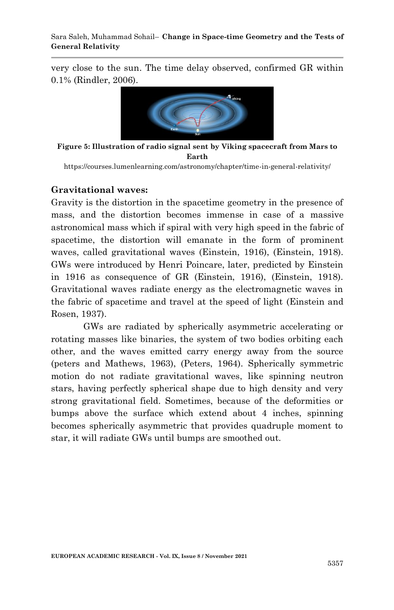very close to the sun. The time delay observed, confirmed GR within 0.1% (Rindler, 2006).



**Figure 5: Illustration of radio signal sent by Viking spacecraft from Mars to Earth**

https://courses.lumenlearning.com/astronomy/chapter/time-in-general-relativity/

#### **Gravitational waves:**

Gravity is the distortion in the spacetime geometry in the presence of mass, and the distortion becomes immense in case of a massive astronomical mass which if spiral with very high speed in the fabric of spacetime, the distortion will emanate in the form of prominent waves, called gravitational waves (Einstein, 1916), (Einstein, 1918). GWs were introduced by Henri Poincare, later, predicted by Einstein in 1916 as consequence of GR (Einstein, 1916), (Einstein, 1918). Gravitational waves radiate energy as the electromagnetic waves in the fabric of spacetime and travel at the speed of light (Einstein and Rosen, 1937).

GWs are radiated by spherically asymmetric accelerating or rotating masses like binaries, the system of two bodies orbiting each other, and the waves emitted carry energy away from the source (peters and Mathews, 1963), (Peters, 1964). Spherically symmetric motion do not radiate gravitational waves, like spinning neutron stars, having perfectly spherical shape due to high density and very strong gravitational field. Sometimes, because of the deformities or bumps above the surface which extend about 4 inches, spinning becomes spherically asymmetric that provides quadruple moment to star, it will radiate GWs until bumps are smoothed out.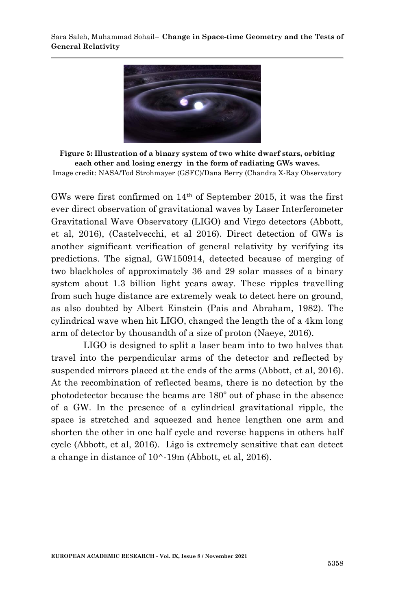

**Figure 5: Illustration of a binary system of two white dwarf stars, orbiting each other and losing energy in the form of radiating GWs waves.** Image credit: NASA/Tod Strohmayer (GSFC)/Dana Berry (Chandra X-Ray Observatory

GWs were first confirmed on 14th of September 2015, it was the first ever direct observation of gravitational waves by Laser Interferometer Gravitational Wave Observatory (LIGO) and Virgo detectors (Abbott, et al, 2016), (Castelvecchi, et al 2016). Direct detection of GWs is another significant verification of general relativity by verifying its predictions. The signal, GW150914, detected because of merging of two blackholes of approximately 36 and 29 solar masses of a binary system about 1.3 billion light years away. These ripples travelling from such huge distance are extremely weak to detect here on ground, as also doubted by Albert Einstein (Pais and Abraham, 1982). The cylindrical wave when hit LIGO, changed the length the of a 4km long arm of detector by thousandth of a size of proton (Naeye, 2016).

LIGO is designed to split a laser beam into to two halves that travel into the perpendicular arms of the detector and reflected by suspended mirrors placed at the ends of the arms (Abbott, et al, 2016). At the recombination of reflected beams, there is no detection by the photodetector because the beams are 180º out of phase in the absence of a GW. In the presence of a cylindrical gravitational ripple, the space is stretched and squeezed and hence lengthen one arm and shorten the other in one half cycle and reverse happens in others half cycle (Abbott, et al, 2016). Ligo is extremely sensitive that can detect a change in distance of 10^-19m (Abbott, et al, 2016).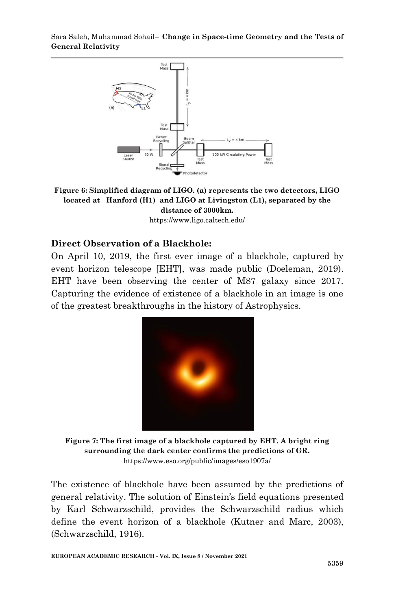Sara Saleh, Muhammad Sohail– **Change in Space-time Geometry and the Tests of General Relativity**



**Figure 6: Simplified diagram of LIGO. (a) represents the two detectors, LIGO located at Hanford (H1) and LIGO at Livingston (L1), separated by the distance of 3000km.**

https://www.ligo.caltech.edu/

#### **Direct Observation of a Blackhole:**

On April 10, 2019, the first ever image of a blackhole, captured by event horizon telescope [EHT], was made public (Doeleman, 2019). EHT have been observing the center of M87 galaxy since 2017. Capturing the evidence of existence of a blackhole in an image is one of the greatest breakthroughs in the history of Astrophysics.



**Figure 7: The first image of a blackhole captured by EHT. A bright ring surrounding the dark center confirms the predictions of GR.** https://www.eso.org/public/images/eso1907a/

The existence of blackhole have been assumed by the predictions of general relativity. The solution of Einstein's field equations presented by Karl Schwarzschild, provides the Schwarzschild radius which define the event horizon of a blackhole (Kutner and Marc, 2003), (Schwarzschild, 1916).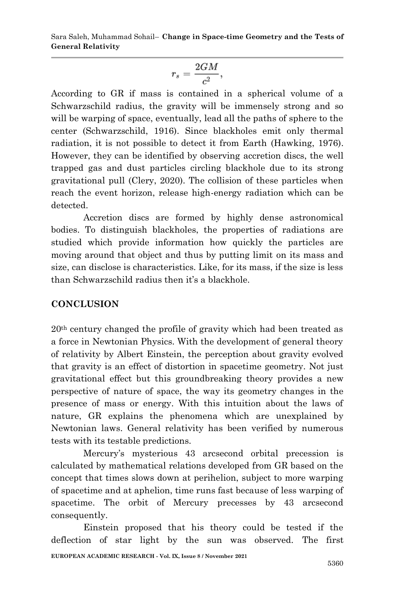$$
r_s = \frac{2GM}{c^2},
$$

According to GR if mass is contained in a spherical volume of a Schwarzschild radius, the gravity will be immensely strong and so will be warping of space, eventually, lead all the paths of sphere to the center (Schwarzschild, 1916). Since blackholes emit only thermal radiation, it is not possible to detect it from Earth (Hawking, 1976). However, they can be identified by observing accretion discs, the well trapped gas and dust particles circling blackhole due to its strong gravitational pull (Clery, 2020). The collision of these particles when reach the event horizon, release high-energy radiation which can be detected.

Accretion discs are formed by highly dense astronomical bodies. To distinguish blackholes, the properties of radiations are studied which provide information how quickly the particles are moving around that object and thus by putting limit on its mass and size, can disclose is characteristics. Like, for its mass, if the size is less than Schwarzschild radius then it's a blackhole.

# **CONCLUSION**

20th century changed the profile of gravity which had been treated as a force in Newtonian Physics. With the development of general theory of relativity by Albert Einstein, the perception about gravity evolved that gravity is an effect of distortion in spacetime geometry. Not just gravitational effect but this groundbreaking theory provides a new perspective of nature of space, the way its geometry changes in the presence of mass or energy. With this intuition about the laws of nature, GR explains the phenomena which are unexplained by Newtonian laws. General relativity has been verified by numerous tests with its testable predictions.

Mercury's mysterious 43 arcsecond orbital precession is calculated by mathematical relations developed from GR based on the concept that times slows down at perihelion, subject to more warping of spacetime and at aphelion, time runs fast because of less warping of spacetime. The orbit of Mercury precesses by 43 arcsecond consequently.

**EUROPEAN ACADEMIC RESEARCH - Vol. IX, Issue 8 / November 2021** Einstein proposed that his theory could be tested if the deflection of star light by the sun was observed. The first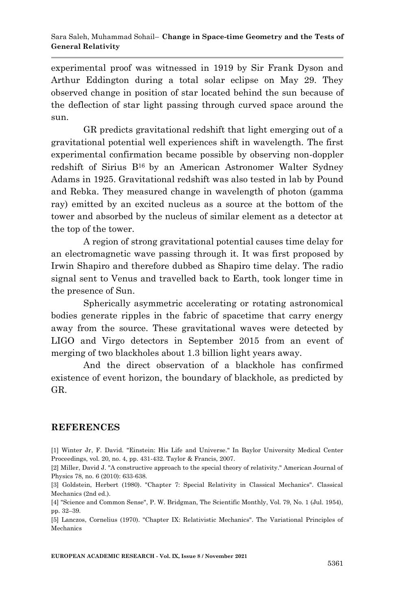experimental proof was witnessed in 1919 by Sir Frank Dyson and Arthur Eddington during a total solar eclipse on May 29. They observed change in position of star located behind the sun because of the deflection of star light passing through curved space around the sun.

GR predicts gravitational redshift that light emerging out of a gravitational potential well experiences shift in wavelength. The first experimental confirmation became possible by observing non-doppler redshift of Sirius B<sup>16</sup> by an American Astronomer Walter Sydney Adams in 1925. Gravitational redshift was also tested in lab by Pound and Rebka. They measured change in wavelength of photon (gamma ray) emitted by an excited nucleus as a source at the bottom of the tower and absorbed by the nucleus of similar element as a detector at the top of the tower.

A region of strong gravitational potential causes time delay for an electromagnetic wave passing through it. It was first proposed by Irwin Shapiro and therefore dubbed as Shapiro time delay. The radio signal sent to Venus and travelled back to Earth, took longer time in the presence of Sun.

Spherically asymmetric accelerating or rotating astronomical bodies generate ripples in the fabric of spacetime that carry energy away from the source. These gravitational waves were detected by LIGO and Virgo detectors in September 2015 from an event of merging of two blackholes about 1.3 billion light years away.

And the direct observation of a blackhole has confirmed existence of event horizon, the boundary of blackhole, as predicted by GR.

### **REFERENCES**

[1] Winter Jr, F. David. "Einstein: His Life and Universe." In Baylor University Medical Center Proceedings, vol. 20, no. 4, pp. 431-432. Taylor & Francis, 2007.

[2] Miller, David J. "A constructive approach to the special theory of relativity." American Journal of Physics 78, no. 6 (2010): 633-638.

[3] Goldstein, Herbert (1980). "Chapter 7: Special Relativity in Classical Mechanics". Classical Mechanics (2nd ed.).

[4] "Science and Common Sense", P. W. Bridgman, The Scientific Monthly, Vol. 79, No. 1 (Jul. 1954), pp. 32–39.

[5] Lanczos, Cornelius (1970). "Chapter IX: Relativistic Mechanics". The Variational Principles of Mechanics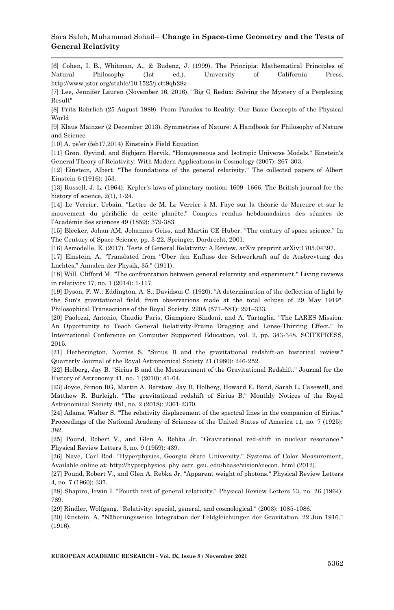#### Sara Saleh, Muhammad Sohail– **Change in Space-time Geometry and the Tests of General Relativity**

[6] Cohen, I. B., Whitman, A., & Budenz, J. (1999). The Principia: Mathematical Principles of Natural Philosophy (1st ed.). University of California Press. http://www.jstor.org/stable/10.1525/j.ctt9qh28z

[7] Lee, Jennifer Lauren (November 16, 2016). "Big G Redux: Solving the Mystery of a Perplexing Result"

[8] Fritz Rohrlich (25 August 1989). From Paradox to Reality: Our Basic Concepts of the Physical World

[9] Klaus Mainzer (2 December 2013). Symmetries of Nature: A Handbook for Philosophy of Nature and Science

[10] A. pe'er (feb17,2014) Einstein's Field Equation

[11] Grøn, Øyvind, and Sigbjørn Hervik. "Homogeneous and Isotropic Universe Models." Einstein's General Theory of Relativity: With Modern Applications in Cosmology (2007): 267-303.

[12] Einstein, Albert. "The foundations of the general relativity." The collected papers of Albert Einstein 6 (1916): 153.

[13] Russell, J. L. (1964). Kepler's laws of planetary motion: 1609–1666. The British journal for the history of science,  $2(1)$ , 1-24.

[14] Le Verrier, Urbain. "Lettre de M. Le Verrier à M. Faye sur la théorie de Mercure et sur le mouvement du périhélie de cette planète." Comptes rendus hebdomadaires des séances de l'Académie des sciences 49 (1859): 379-383.

[15] Bleeker, Johan AM, Johannes Geiss, and Martin CE Huber. "The century of space science." In The Century of Space Science, pp. 3-22. Springer, Dordrecht, 2001.

[16] Asmodelle, E. (2017). Tests of General Relativity: A Review. arXiv preprint arXiv:1705.04397.

[17] Einstein, A. "Translated from "Über den Enfluss der Schwerkraft auf de Ausbrevtung des Lnchtes," Annalen der Physik, 35." (1911).

[18] Will, Clifford M. "The confrontation between general relativity and experiment." Living reviews in relativity 17, no. 1 (2014): 1-117.

[19] Dyson, F. W.; Eddington, A. S.; Davidson C. (1920). "A determination of the deflection of light by the Sun's gravitational field, from observations made at the total eclipse of 29 May 1919". Philosophical Transactions of the Royal Society. 220A (571–581): 291–333.

[20] Paolozzi, Antonio, Claudio Paris, Giampiero Sindoni, and A. Tartaglia. "The LARES Mission: An Opportunity to Teach General Relativity-Frame Dragging and Lense-Thirring Effect." In International Conference on Computer Supported Education, vol. 2, pp. 343-348. SCITEPRESS, 2015.

[21] Hetherington, Norriss S. "Sirius B and the gravitational redshift-an historical review." Quarterly Journal of the Royal Astronomical Society 21 (1980): 246-252.

[22] Holberg, Jay B. "Sirius B and the Measurement of the Gravitational Redshift." Journal for the History of Astronomy 41, no. 1 (2010): 41-64.

[23] Joyce, Simon RG, Martin A. Barstow, Jay B. Holberg, Howard E. Bond, Sarah L. Casewell, and Matthew R. Burleigh. "The gravitational redshift of Sirius B." Monthly Notices of the Royal Astronomical Society 481, no. 2 (2018): 2361-2370.

[24] Adams, Walter S. "The relativity displacement of the spectral lines in the companion of Sirius." Proceedings of the National Academy of Sciences of the United States of America 11, no. 7 (1925): 382.

[25] Pound, Robert V., and Glen A. Rebka Jr. "Gravitational red-shift in nuclear resonance." Physical Review Letters 3, no. 9 (1959): 439.

[26] Nave, Carl Rod. "Hyperphysics, Georgia State University." Systems of Color Measurement, Available online at: http://hyperphysics. phy-astr. gsu. edu/hbase/vision/ciecon. html (2012).

[27] Pound, Robert V., and Glen A. Rebka Jr. "Apparent weight of photons." Physical Review Letters 4, no. 7 (1960): 337.

[28] Shapiro, Irwin I. "Fourth test of general relativity." Physical Review Letters 13, no. 26 (1964): 789.

[29] Rindler, Wolfgang. "Relativity: special, general, and cosmological." (2003): 1085-1086.

[30] Einstein, A. "Näherungsweise Integration der Feldgleichungen der Gravitation, 22 Jun 1916." (1916).